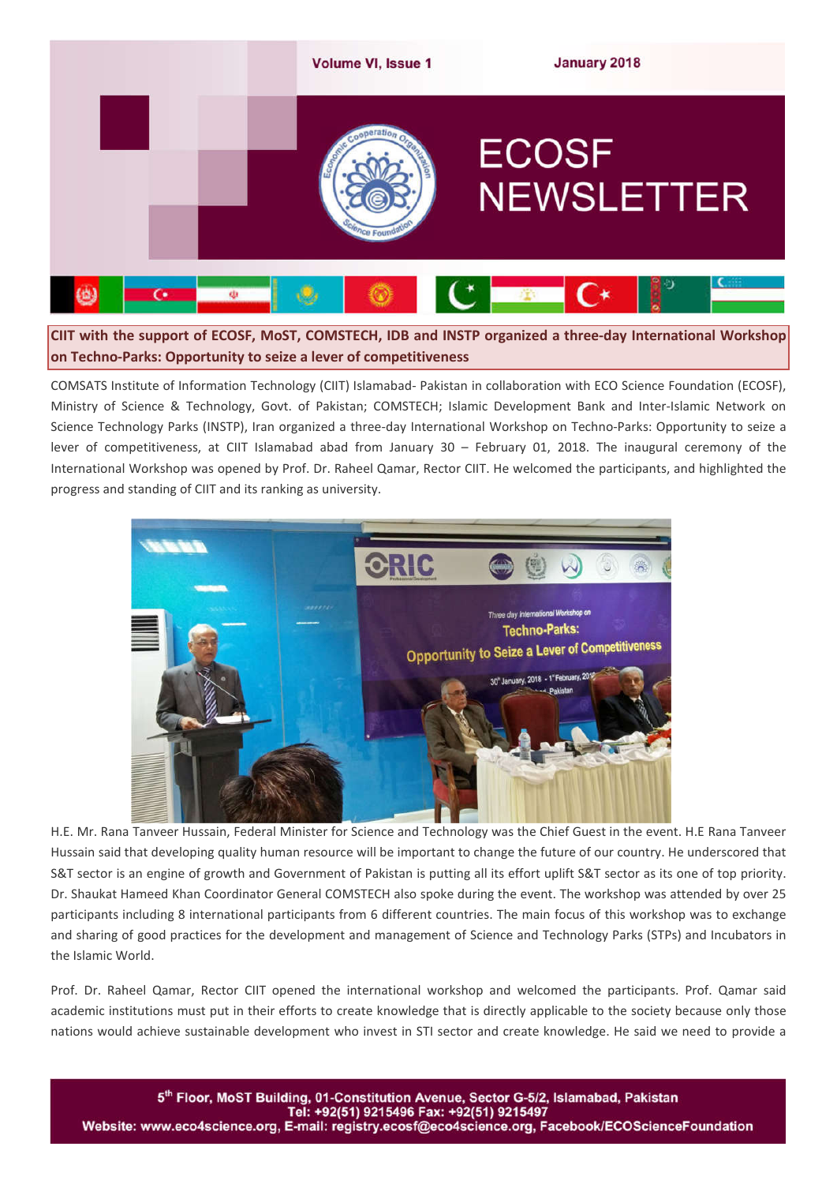

**CIIT with the support of ECOSF, MoST, COMSTECH, IDB and INSTP organized a three-day International Workshop on Techno-Parks: Opportunity to seize a lever of competitiveness**

COMSATS Institute of Information Technology (CIIT) Islamabad- Pakistan in collaboration with ECO Science Foundation (ECOSF), Ministry of Science & Technology, Govt. of Pakistan; COMSTECH; Islamic Development Bank and Inter-Islamic Network on Science Technology Parks (INSTP), Iran organized a three-day International Workshop on Techno-Parks: Opportunity to seize a lever of competitiveness, at CIIT Islamabad abad from January 30 – February 01, 2018. The inaugural ceremony of the International Workshop was opened by Prof. Dr. Raheel Qamar, Rector CIIT. He welcomed the participants, and highlighted the progress and standing of CIIT and its ranking as university.



H.E. Mr. Rana Tanveer Hussain, Federal Minister for Science and Technology was the Chief Guest in the event. H.E Rana Tanveer Hussain said that developing quality human resource will be important to change the future of our country. He underscored that S&T sector is an engine of growth and Government of Pakistan is putting all its effort uplift S&T sector as its one of top priority. Dr. Shaukat Hameed Khan Coordinator General COMSTECH also spoke during the event. The workshop was attended by over 25 participants including 8 international participants from 6 different countries. The main focus of this workshop was to exchange and sharing of good practices for the development and management of Science and Technology Parks (STPs) and Incubators in the Islamic World.

Prof. Dr. Raheel Qamar, Rector CIIT opened the international workshop and welcomed the participants. Prof. Qamar said academic institutions must put in their efforts to create knowledge that is directly applicable to the society because only those nations would achieve sustainable development who invest in STI sector and create knowledge. He said we need to provide a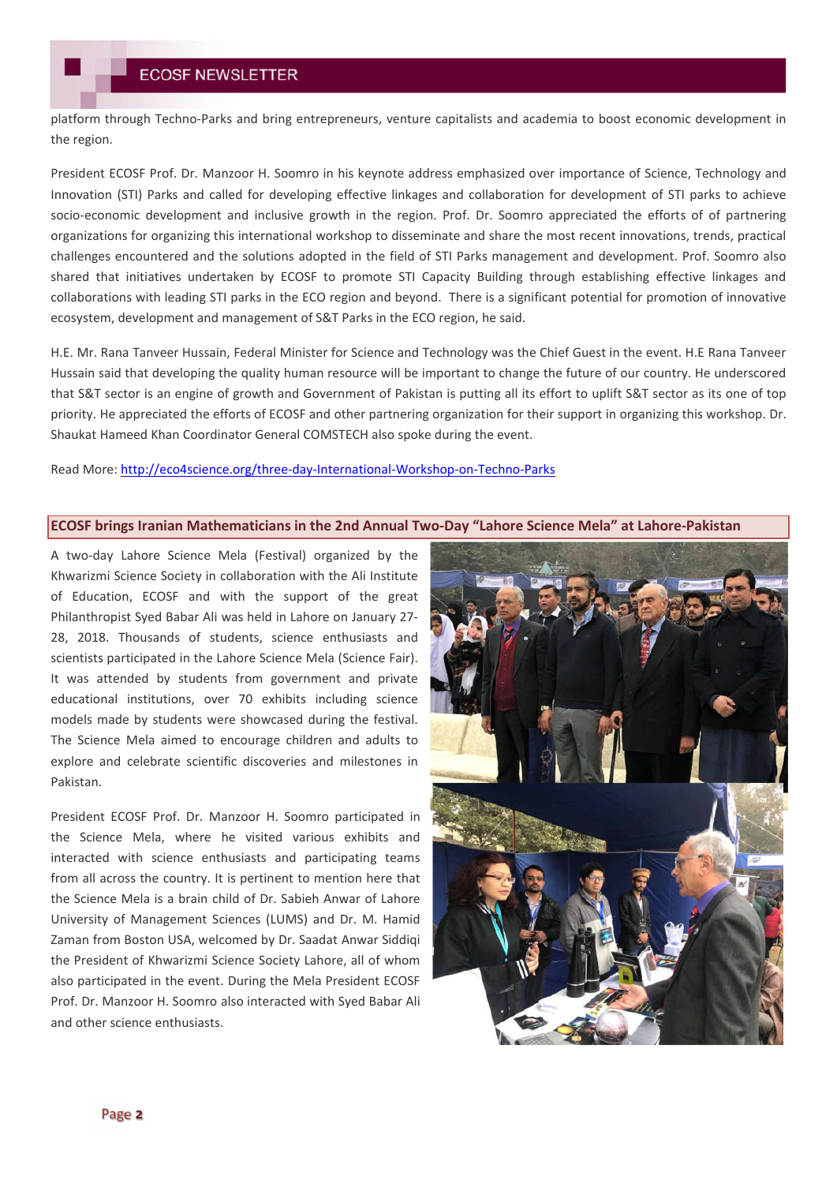platform through Techno-Parks and bring entrepreneurs, venture capitalists and academia to boost economic development in the region.

President ECOSF Prof. Dr. Manzoor H. Soomro in his keynote address emphasized over importance of Science, Technology and Innovation (STI) Parks and called for developing effective linkages and collaboration for development of STI parks to achieve socio-economic development and inclusive growth in the region. Prof. Dr. Soomro appreciated the efforts of of partnering organizations for organizing this international workshop to disseminate and share the most recent innovations, trends, practical challenges encountered and the solutions adopted in the field of STI Parks management and development. Prof. Soomro also shared that initiatives undertaken by ECOSF to promote STI Capacity Building through establishing effective linkages and collaborations with leading STI parks in the ECO region and beyond. There is a significant potential for promotion of innovative ecosystem, development and management of S&T Parks in the ECO region, he said.

H.E. Mr. Rana Tanveer Hussain, Federal Minister for Science and Technology was the Chief Guest in the event. H.E Rana Tanveer Hussain said that developing the quality human resource will be important to change the future of our country. He underscored that S&T sector is an engine of growth and Government of Pakistan is putting all its effort to uplift S&T sector as its one of top priority. He appreciated the efforts of ECOSF and other partnering organization for their support in organizing this workshop. Dr. Shaukat Hameed Khan Coordinator General COMSTECH also spoke during the event.

Read More: http://eco4science.org/three-day-International-Workshop-on-Techno-Parks

#### **ECOSF brings Iranian Mathematicians in the 2nd Annual Two-Day "Lahore Science Mela" at Lahore-Pakistan**

A two-day Lahore Science Mela (Festival) organized by the Khwarizmi Science Society in collaboration with the Ali Institute of Education, ECOSF and with the support of the great Philanthropist Syed Babar Ali was held in Lahore on January 27- 28, 2018. Thousands of students, science enthusiasts and scientists participated in the Lahore Science Mela (Science Fair). It was attended by students from government and private educational institutions, over 70 exhibits including science models made by students were showcased during the festival. The Science Mela aimed to encourage children and adults to explore and celebrate scientific discoveries and milestones in Pakistan.

President ECOSF Prof. Dr. Manzoor H. Soomro participated in the Science Mela, where he visited various exhibits and interacted with science enthusiasts and participating teams from all across the country. It is pertinent to mention here that the Science Mela is a brain child of Dr. Sabieh Anwar of Lahore University of Management Sciences (LUMS) and Dr. M. Hamid Zaman from Boston USA, welcomed by Dr. Saadat Anwar Siddiqi the President of Khwarizmi Science Society Lahore, all of whom also participated in the event. During the Mela President ECOSF Prof. Dr. Manzoor H. Soomro also interacted with Syed Babar Ali and other science enthusiasts.

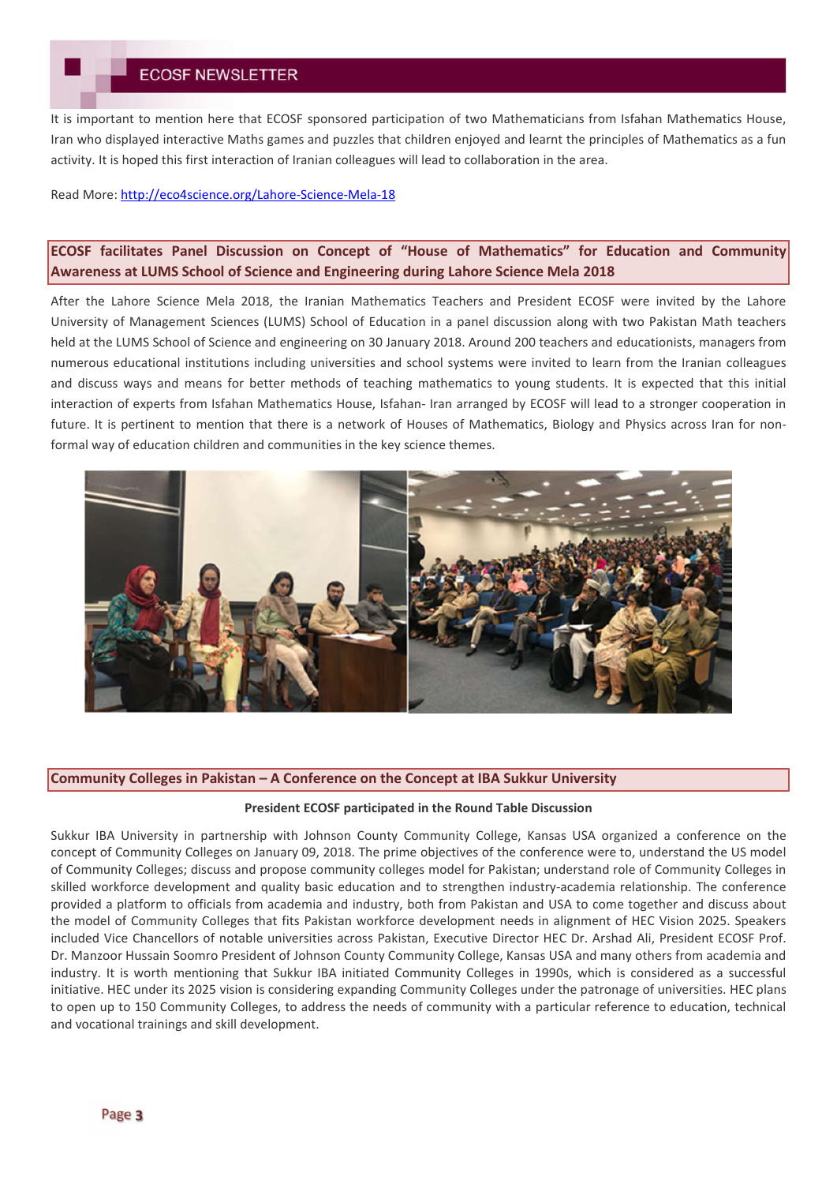It is important to mention here that ECOSF sponsored participation of two Mathematicians from Isfahan Mathematics House, Iran who displayed interactive Maths games and puzzles that children enjoyed and learnt the principles of Mathematics as a fun activity. It is hoped this first interaction of Iranian colleagues will lead to collaboration in the area.

### Read More: http://eco4science.org/Lahore-Science-Mela-18

# **ECOSF facilitates Panel Discussion on Concept of "House of Mathematics" for Education and Community Awareness at LUMS School of Science and Engineering during Lahore Science Mela 2018**

After the Lahore Science Mela 2018, the Iranian Mathematics Teachers and President ECOSF were invited by the Lahore University of Management Sciences (LUMS) School of Education in a panel discussion along with two Pakistan Math teachers held at the LUMS School of Science and engineering on 30 January 2018. Around 200 teachers and educationists, managers from numerous educational institutions including universities and school systems were invited to learn from the Iranian colleagues and discuss ways and means for better methods of teaching mathematics to young students. It is expected that this initial interaction of experts from Isfahan Mathematics House, Isfahan- Iran arranged by ECOSF will lead to a stronger cooperation in future. It is pertinent to mention that there is a network of Houses of Mathematics, Biology and Physics across Iran for nonformal way of education children and communities in the key science themes.



## **Community Colleges in Pakistan – A Conference on the Concept at IBA Sukkur University**

#### **President ECOSF participated in the Round Table Discussion**

Sukkur IBA University in partnership with Johnson County Community College, Kansas USA organized a conference on the concept of Community Colleges on January 09, 2018. The prime objectives of the conference were to, understand the US model of Community Colleges; discuss and propose community colleges model for Pakistan; understand role of Community Colleges in skilled workforce development and quality basic education and to strengthen industry-academia relationship. The conference provided a platform to officials from academia and industry, both from Pakistan and USA to come together and discuss about the model of Community Colleges that fits Pakistan workforce development needs in alignment of HEC Vision 2025. Speakers included Vice Chancellors of notable universities across Pakistan, Executive Director HEC Dr. Arshad Ali, President ECOSF Prof. Dr. Manzoor Hussain Soomro President of Johnson County Community College, Kansas USA and many others from academia and industry. It is worth mentioning that Sukkur IBA initiated Community Colleges in 1990s, which is considered as a successful initiative. HEC under its 2025 vision is considering expanding Community Colleges under the patronage of universities. HEC plans to open up to 150 Community Colleges, to address the needs of community with a particular reference to education, technical and vocational trainings and skill development.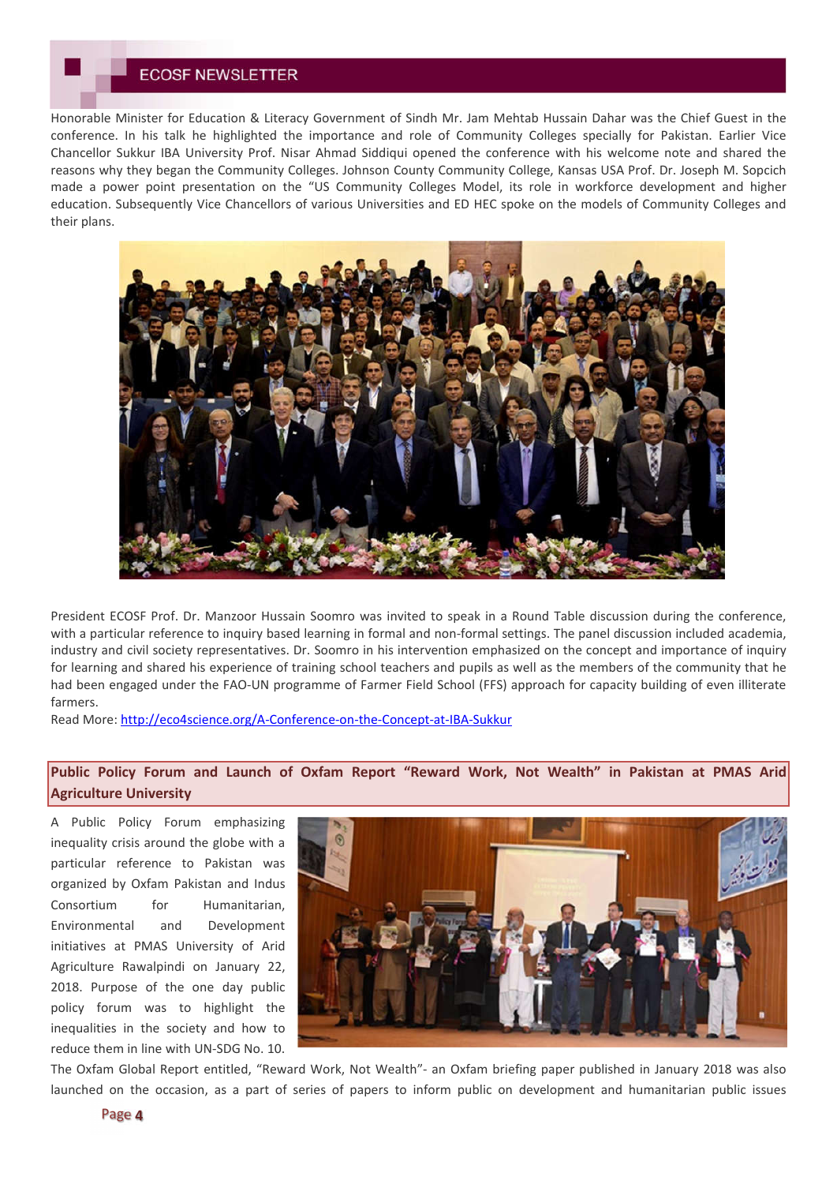## **ECOSF NEWSLETTER**

Honorable Minister for Education & Literacy Government of Sindh Mr. Jam Mehtab Hussain Dahar was the Chief Guest in the conference. In his talk he highlighted the importance and role of Community Colleges specially for Pakistan. Earlier Vice Chancellor Sukkur IBA University Prof. Nisar Ahmad Siddiqui opened the conference with his welcome note and shared the reasons why they began the Community Colleges. Johnson County Community College, Kansas USA Prof. Dr. Joseph M. Sopcich made a power point presentation on the "US Community Colleges Model, its role in workforce development and higher education. Subsequently Vice Chancellors of various Universities and ED HEC spoke on the models of Community Colleges and their plans.



President ECOSF Prof. Dr. Manzoor Hussain Soomro was invited to speak in a Round Table discussion during the conference, with a particular reference to inquiry based learning in formal and non-formal settings. The panel discussion included academia, industry and civil society representatives. Dr. Soomro in his intervention emphasized on the concept and importance of inquiry for learning and shared his experience of training school teachers and pupils as well as the members of the community that he had been engaged under the FAO-UN programme of Farmer Field School (FFS) approach for capacity building of even illiterate farmers.

Read More: http://eco4science.org/A-Conference-on-the-Concept-at-IBA-Sukkur

# **Public Policy Forum and Launch of Oxfam Report "Reward Work, Not Wealth" in Pakistan at PMAS Arid Agriculture University**

A Public Policy Forum emphasizing inequality crisis around the globe with a particular reference to Pakistan was organized by Oxfam Pakistan and Indus Consortium for Humanitarian, Environmental and Development initiatives at PMAS University of Arid Agriculture Rawalpindi on January 22, 2018. Purpose of the one day public policy forum was to highlight the inequalities in the society and how to reduce them in line with UN-SDG No. 10.



The Oxfam Global Report entitled, "Reward Work, Not Wealth"- an Oxfam briefing paper published in January 2018 was also launched on the occasion, as a part of series of papers to inform public on development and humanitarian public issues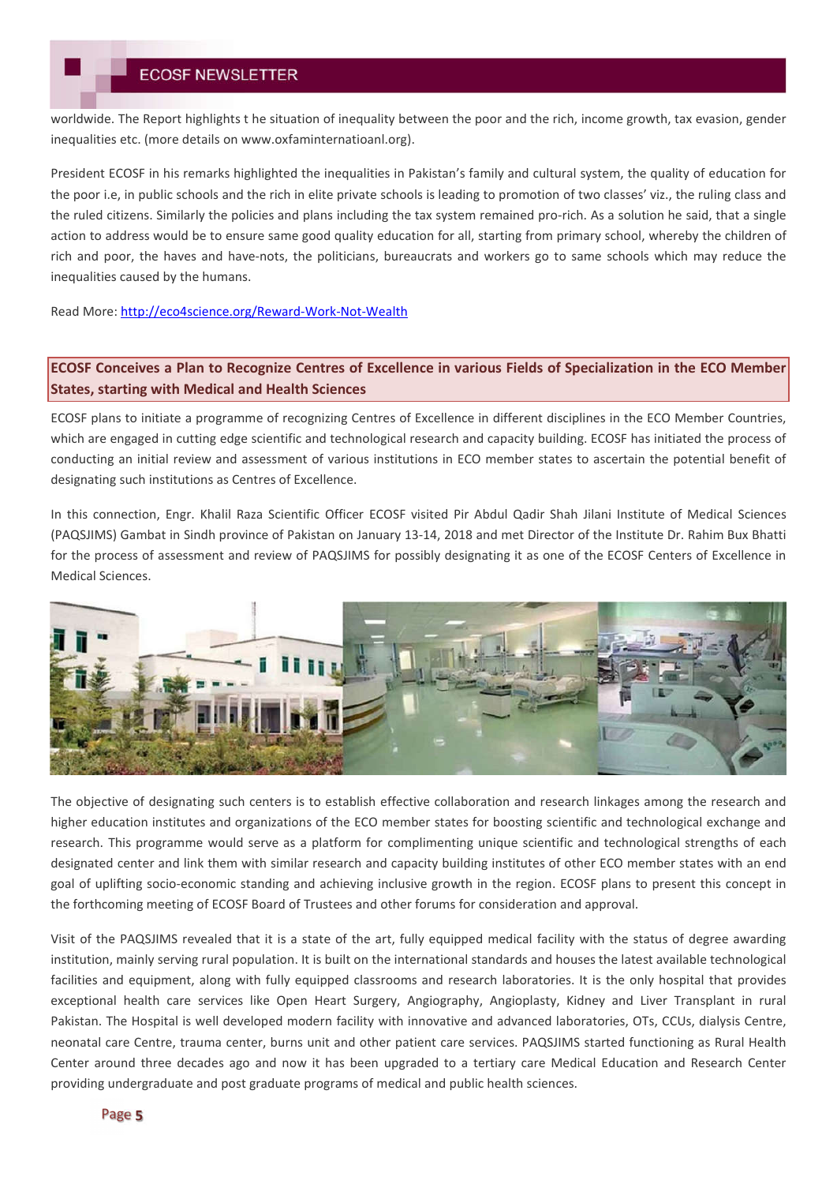worldwide. The Report highlights t he situation of inequality between the poor and the rich, income growth, tax evasion, gender inequalities etc. (more details on www.oxfaminternatioanl.org).

President ECOSF in his remarks highlighted the inequalities in Pakistan's family and cultural system, the quality of education for the poor i.e, in public schools and the rich in elite private schools is leading to promotion of two classes' viz., the ruling class and the ruled citizens. Similarly the policies and plans including the tax system remained pro-rich. As a solution he said, that a single action to address would be to ensure same good quality education for all, starting from primary school, whereby the children of rich and poor, the haves and have-nots, the politicians, bureaucrats and workers go to same schools which may reduce the inequalities caused by the humans.

Read More: http://eco4science.org/Reward-Work-Not-Wealth

# **ECOSF Conceives a Plan to Recognize Centres of Excellence in various Fields of Specialization in the ECO Member States, starting with Medical and Health Sciences**

ECOSF plans to initiate a programme of recognizing Centres of Excellence in different disciplines in the ECO Member Countries, which are engaged in cutting edge scientific and technological research and capacity building. ECOSF has initiated the process of conducting an initial review and assessment of various institutions in ECO member states to ascertain the potential benefit of designating such institutions as Centres of Excellence.

In this connection, Engr. Khalil Raza Scientific Officer ECOSF visited Pir Abdul Qadir Shah Jilani Institute of Medical Sciences (PAQSJIMS) Gambat in Sindh province of Pakistan on January 13-14, 2018 and met Director of the Institute Dr. Rahim Bux Bhatti for the process of assessment and review of PAQSJIMS for possibly designating it as one of the ECOSF Centers of Excellence in Medical Sciences.



The objective of designating such centers is to establish effective collaboration and research linkages among the research and higher education institutes and organizations of the ECO member states for boosting scientific and technological exchange and research. This programme would serve as a platform for complimenting unique scientific and technological strengths of each designated center and link them with similar research and capacity building institutes of other ECO member states with an end goal of uplifting socio-economic standing and achieving inclusive growth in the region. ECOSF plans to present this concept in the forthcoming meeting of ECOSF Board of Trustees and other forums for consideration and approval.

Visit of the PAQSJIMS revealed that it is a state of the art, fully equipped medical facility with the status of degree awarding institution, mainly serving rural population. It is built on the international standards and houses the latest available technological facilities and equipment, along with fully equipped classrooms and research laboratories. It is the only hospital that provides exceptional health care services like Open Heart Surgery, Angiography, Angioplasty, Kidney and Liver Transplant in rural Pakistan. The Hospital is well developed modern facility with innovative and advanced laboratories, OTs, CCUs, dialysis Centre, neonatal care Centre, trauma center, burns unit and other patient care services. PAQSJIMS started functioning as Rural Health Center around three decades ago and now it has been upgraded to a tertiary care Medical Education and Research Center providing undergraduate and post graduate programs of medical and public health sciences.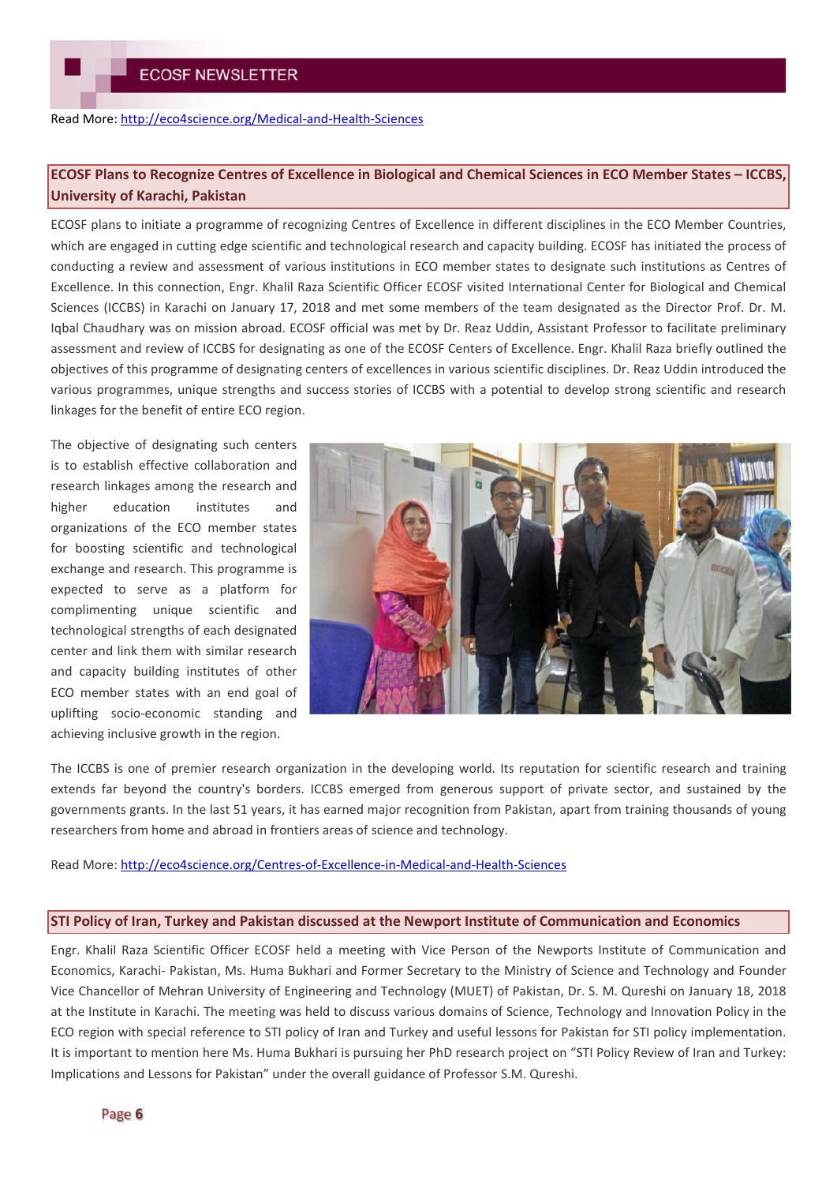### Read More: http://eco4science.org/Medical-and-Health-Sciences

# **ECOSF Plans to Recognize Centres of Excellence in Biological and Chemical Sciences in ECO Member States – ICCBS, University of Karachi, Pakistan**

ECOSF plans to initiate a programme of recognizing Centres of Excellence in different disciplines in the ECO Member Countries, which are engaged in cutting edge scientific and technological research and capacity building. ECOSF has initiated the process of conducting a review and assessment of various institutions in ECO member states to designate such institutions as Centres of Excellence. In this connection, Engr. Khalil Raza Scientific Officer ECOSF visited International Center for Biological and Chemical Sciences (ICCBS) in Karachi on January 17, 2018 and met some members of the team designated as the Director Prof. Dr. M. Iqbal Chaudhary was on mission abroad. ECOSF official was met by Dr. Reaz Uddin, Assistant Professor to facilitate preliminary assessment and review of ICCBS for designating as one of the ECOSF Centers of Excellence. Engr. Khalil Raza briefly outlined the objectives of this programme of designating centers of excellences in various scientific disciplines. Dr. Reaz Uddin introduced the various programmes, unique strengths and success stories of ICCBS with a potential to develop strong scientific and research linkages for the benefit of entire ECO region.

The objective of designating such centers is to establish effective collaboration and research linkages among the research and higher education institutes and organizations of the ECO member states for boosting scientific and technological exchange and research. This programme is expected to serve as a platform for complimenting unique scientific and technological strengths of each designated center and link them with similar research and capacity building institutes of other ECO member states with an end goal of uplifting socio-economic standing and achieving inclusive growth in the region.



The ICCBS is one of premier research organization in the developing world. Its reputation for scientific research and training extends far beyond the country's borders. ICCBS emerged from generous support of private sector, and sustained by the governments grants. In the last 51 years, it has earned major recognition from Pakistan, apart from training thousands of young researchers from home and abroad in frontiers areas of science and technology.

Read More: http://eco4science.org/Centres-of-Excellence-in-Medical-and-Health-Sciences

#### **STI Policy of Iran, Turkey and Pakistan discussed at the Newport Institute of Communication and Economics**

Engr. Khalil Raza Scientific Officer ECOSF held a meeting with Vice Person of the Newports Institute of Communication and Economics, Karachi- Pakistan, Ms. Huma Bukhari and Former Secretary to the Ministry of Science and Technology and Founder Vice Chancellor of Mehran University of Engineering and Technology (MUET) of Pakistan, Dr. S. M. Qureshi on January 18, 2018 at the Institute in Karachi. The meeting was held to discuss various domains of Science, Technology and Innovation Policy in the ECO region with special reference to STI policy of Iran and Turkey and useful lessons for Pakistan for STI policy implementation. It is important to mention here Ms. Huma Bukhari is pursuing her PhD research project on "STI Policy Review of Iran and Turkey: Implications and Lessons for Pakistan" under the overall guidance of Professor S.M. Qureshi.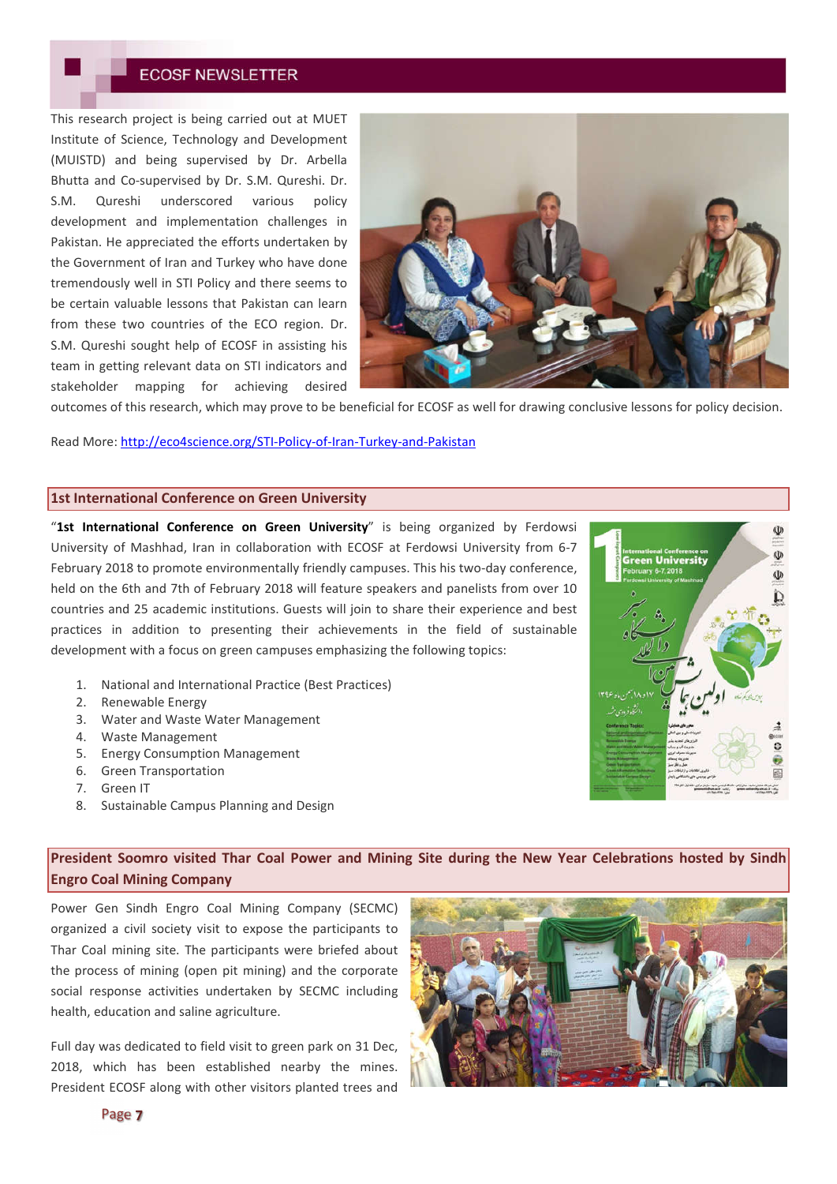# **ECOSF NEWSLETTER**

This research project is being carried out at MUET Institute of Science, Technology and Development (MUISTD) and being supervised by Dr. Arbella Bhutta and Co-supervised by Dr. S.M. Qureshi. Dr. S.M. Qureshi underscored various policy development and implementation challenges in Pakistan. He appreciated the efforts undertaken by the Government of Iran and Turkey who have done tremendously well in STI Policy and there seems to be certain valuable lessons that Pakistan can learn from these two countries of the ECO region. Dr. S.M. Qureshi sought help of ECOSF in assisting his team in getting relevant data on STI indicators and stakeholder mapping for achieving desired



outcomes of this research, which may prove to be beneficial for ECOSF as well for drawing conclusive lessons for policy decision.

Read More: http://eco4science.org/STI-Policy-of-Iran-Turkey-and-Pakistan

## **1st International Conference on Green University**

"**1st International Conference on Green University**" is being organized by Ferdowsi University of Mashhad, Iran in collaboration with ECOSF at Ferdowsi University from 6-7 February 2018 to promote environmentally friendly campuses. This his two-day conference, held on the 6th and 7th of February 2018 will feature speakers and panelists from over 10 countries and 25 academic institutions. Guests will join to share their experience and best practices in addition to presenting their achievements in the field of sustainable development with a focus on green campuses emphasizing the following topics:

- 1. National and International Practice (Best Practices)
- 2. Renewable Energy
- 3. Water and Waste Water Management
- 4. Waste Management
- 5. Energy Consumption Management
- 6. Green Transportation
- 7. Green IT
- 8. Sustainable Campus Planning and Design

**President Soomro visited Thar Coal Power and Mining Site during the New Year Celebrations hosted by Sindh Engro Coal Mining Company**

Power Gen Sindh Engro Coal Mining Company (SECMC) organized a civil society visit to expose the participants to Thar Coal mining site. The participants were briefed about the process of mining (open pit mining) and the corporate social response activities undertaken by SECMC including health, education and saline agriculture.

Full day was dedicated to field visit to green park on 31 Dec, 2018, which has been established nearby the mines. President ECOSF along with other visitors planted trees and



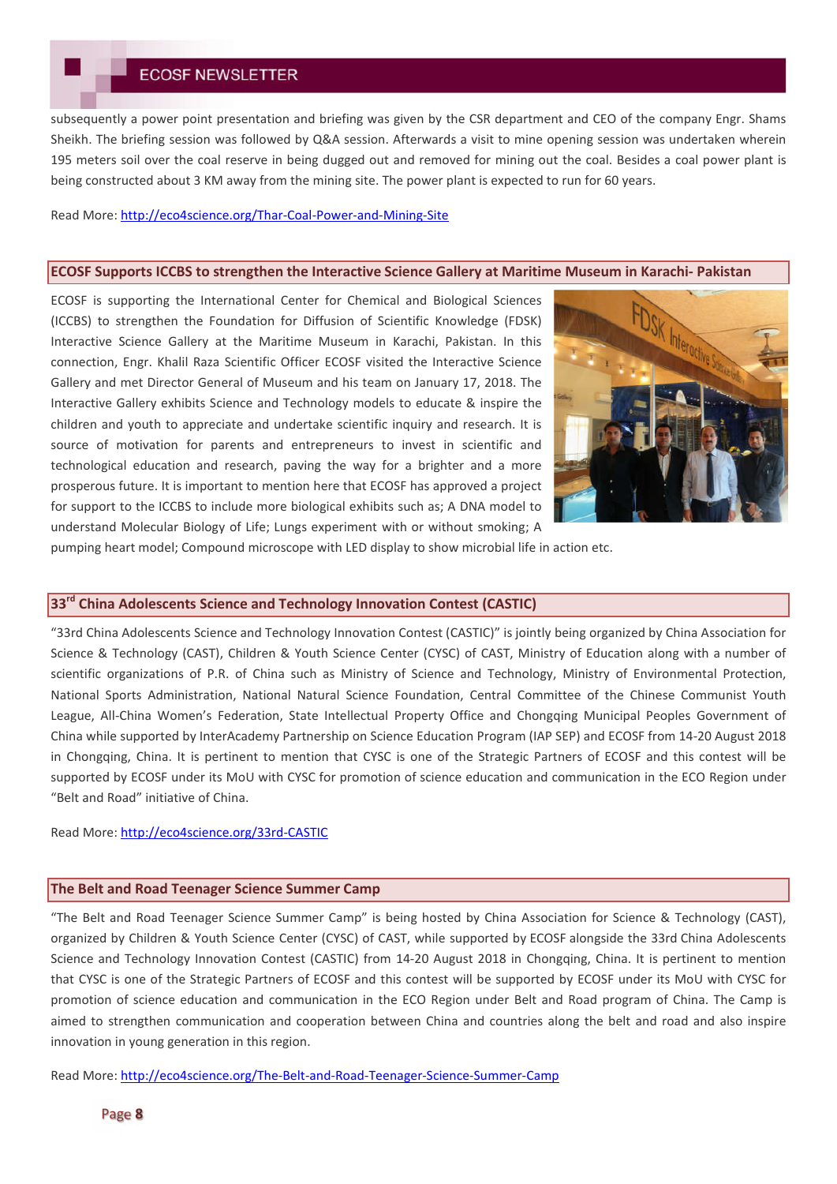# **ECOSF NEWSLETTER**

subsequently a power point presentation and briefing was given by the CSR department and CEO of the company Engr. Shams Sheikh. The briefing session was followed by Q&A session. Afterwards a visit to mine opening session was undertaken wherein 195 meters soil over the coal reserve in being dugged out and removed for mining out the coal. Besides a coal power plant is being constructed about 3 KM away from the mining site. The power plant is expected to run for 60 years.

#### Read More: http://eco4science.org/Thar-Coal-Power-and-Mining-Site

#### **ECOSF Supports ICCBS to strengthen the Interactive Science Gallery at Maritime Museum in Karachi- Pakistan**

ECOSF is supporting the International Center for Chemical and Biological Sciences (ICCBS) to strengthen the Foundation for Diffusion of Scientific Knowledge (FDSK) Interactive Science Gallery at the Maritime Museum in Karachi, Pakistan. In this connection, Engr. Khalil Raza Scientific Officer ECOSF visited the Interactive Science Gallery and met Director General of Museum and his team on January 17, 2018. The Interactive Gallery exhibits Science and Technology models to educate & inspire the children and youth to appreciate and undertake scientific inquiry and research. It is source of motivation for parents and entrepreneurs to invest in scientific and technological education and research, paving the way for a brighter and a more prosperous future. It is important to mention here that ECOSF has approved a project for support to the ICCBS to include more biological exhibits such as; A DNA model to understand Molecular Biology of Life; Lungs experiment with or without smoking; A



pumping heart model; Compound microscope with LED display to show microbial life in action etc.

#### **33rd China Adolescents Science and Technology Innovation Contest (CASTIC)**

"33rd China Adolescents Science and Technology Innovation Contest (CASTIC)" is jointly being organized by China Association for Science & Technology (CAST), Children & Youth Science Center (CYSC) of CAST, Ministry of Education along with a number of scientific organizations of P.R. of China such as Ministry of Science and Technology, Ministry of Environmental Protection, National Sports Administration, National Natural Science Foundation, Central Committee of the Chinese Communist Youth League, All-China Women's Federation, State Intellectual Property Office and Chongqing Municipal Peoples Government of China while supported by InterAcademy Partnership on Science Education Program (IAP SEP) and ECOSF from 14-20 August 2018 in Chongqing, China. It is pertinent to mention that CYSC is one of the Strategic Partners of ECOSF and this contest will be supported by ECOSF under its MoU with CYSC for promotion of science education and communication in the ECO Region under "Belt and Road" initiative of China.

Read More: http://eco4science.org/33rd-CASTIC

## **The Belt and Road Teenager Science Summer Camp**

"The Belt and Road Teenager Science Summer Camp" is being hosted by China Association for Science & Technology (CAST), organized by Children & Youth Science Center (CYSC) of CAST, while supported by ECOSF alongside the 33rd China Adolescents Science and Technology Innovation Contest (CASTIC) from 14-20 August 2018 in Chongqing, China. It is pertinent to mention that CYSC is one of the Strategic Partners of ECOSF and this contest will be supported by ECOSF under its MoU with CYSC for promotion of science education and communication in the ECO Region under Belt and Road program of China. The Camp is aimed to strengthen communication and cooperation between China and countries along the belt and road and also inspire innovation in young generation in this region.

Read More: http://eco4science.org/The-Belt-and-Road-Teenager-Science-Summer-Camp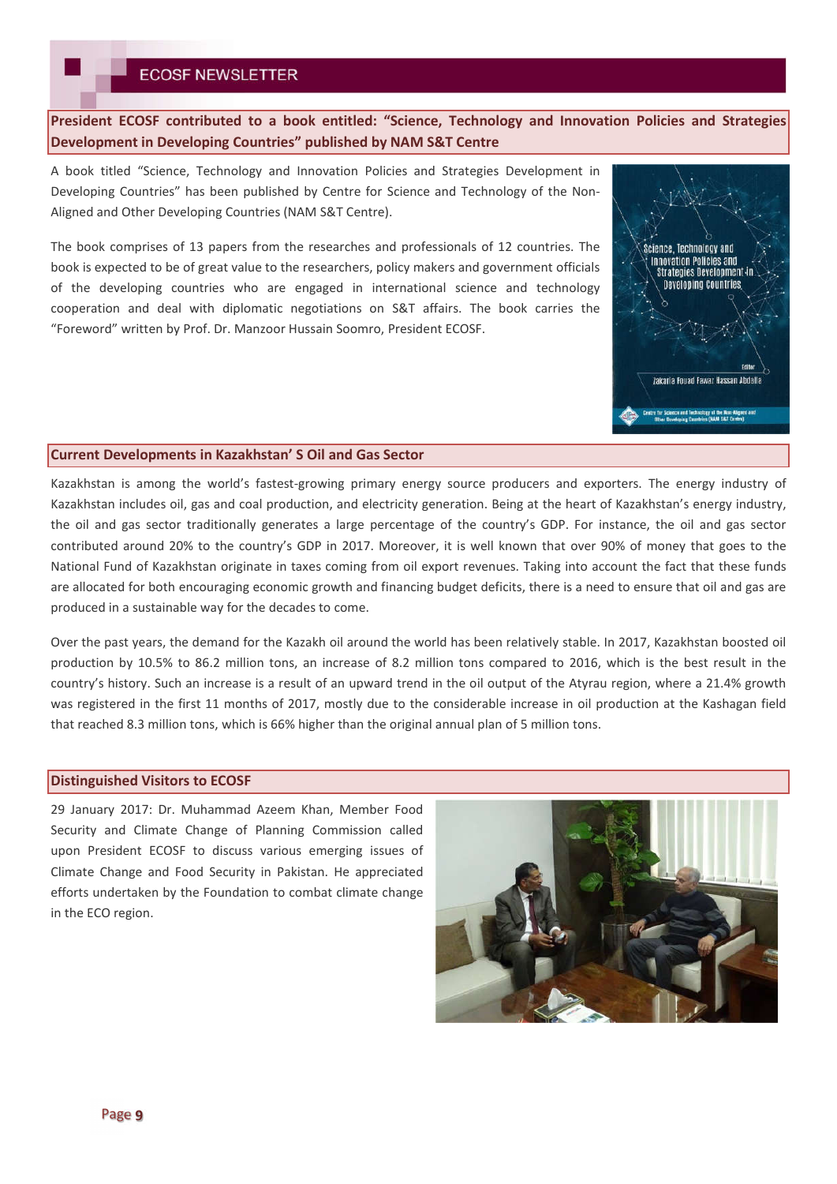**President ECOSF contributed to a book entitled: "Science, Technology and Innovation Policies and Strategies Development in Developing Countries" published by NAM S&T Centre**

A book titled "Science, Technology and Innovation Policies and Strategies Development in Developing Countries" has been published by Centre for Science and Technology of the Non-Aligned and Other Developing Countries (NAM S&T Centre).

The book comprises of 13 papers from the researches and professionals of 12 countries. The book is expected to be of great value to the researchers, policy makers and government officials of the developing countries who are engaged in international science and technology cooperation and deal with diplomatic negotiations on S&T affairs. The book carries the "Foreword" written by Prof. Dr. Manzoor Hussain Soomro, President ECOSF.



#### **Current Developments in Kazakhstan' S Oil and Gas Sector**

Kazakhstan is among the world's fastest-growing primary energy source producers and exporters. The energy industry of Kazakhstan includes oil, gas and coal production, and electricity generation. Being at the heart of Kazakhstan's energy industry, the oil and gas sector traditionally generates a large percentage of the country's GDP. For instance, the oil and gas sector contributed around 20% to the country's GDP in 2017. Moreover, it is well known that over 90% of money that goes to the National Fund of Kazakhstan originate in taxes coming from oil export revenues. Taking into account the fact that these funds are allocated for both encouraging economic growth and financing budget deficits, there is a need to ensure that oil and gas are produced in a sustainable way for the decades to come.

Over the past years, the demand for the Kazakh oil around the world has been relatively stable. In 2017, Kazakhstan boosted oil production by 10.5% to 86.2 million tons, an increase of 8.2 million tons compared to 2016, which is the best result in the country's history. Such an increase is a result of an upward trend in the oil output of the Atyrau region, where a 21.4% growth was registered in the first 11 months of 2017, mostly due to the considerable increase in oil production at the Kashagan field that reached 8.3 million tons, which is 66% higher than the original annual plan of 5 million tons.

### **Distinguished Visitors to ECOSF**

29 January 2017: Dr. Muhammad Azeem Khan, Member Food Security and Climate Change of Planning Commission called upon President ECOSF to discuss various emerging issues of Climate Change and Food Security in Pakistan. He appreciated efforts undertaken by the Foundation to combat climate change in the ECO region.